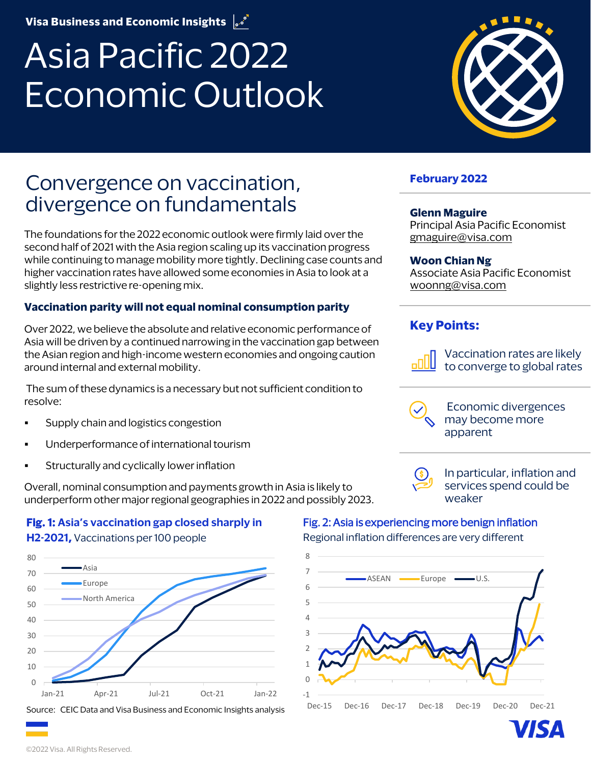**Visa Business and Economic Insights**  $\int e^{i\theta}$ 

# Asia Pacific 2022 Economic Outlook



The foundations for the 2022 economic outlook were firmly laid over the second half of 2021 with the Asia region scaling up its vaccination progress while continuing to manage mobility more tightly. Declining case counts and higher vaccination rates have allowed some economies in Asia to look at a slightly less restrictive re-opening mix.

#### **Vaccination parity will not equal nominal consumption parity**

Over 2022, we believe the absolute and relative economic performance of Asia will be driven by a continued narrowing in the vaccination gap between the Asian region and high-income western economies and ongoing caution around internal and external mobility.

The sum of these dynamics is a necessary but not sufficient condition to resolve:

- Supply chain and logistics congestion
- Underperformance of international tourism
- Structurally and cyclically lower inflation

Overall, nominal consumption and payments growth in Asia is likely to underperform other major regional geographies in 2022 and possibly 2023.

#### **Fig. 1: Asia's vaccination gap closed sharply in H2-2021,** Vaccinations per 100 people



Source: CEIC Data and Visa Business and Economic Insights analysis



#### **February 2022**

#### **Glenn Maguire**

Principal Asia Pacific Economist <gmaguire@visa.com>

#### **Woon Chian Ng**

Associate Asia Pacific Economist <woonng@visa.com>

#### **Key Points:**



Vaccination rates are likely to converge to global rates

Economic divergences may become more apparent

#### In particular, inflation and services spend could be weaker

#### Fig. 2: Asia is experiencing more benign inflation

Regional inflation differences are very different

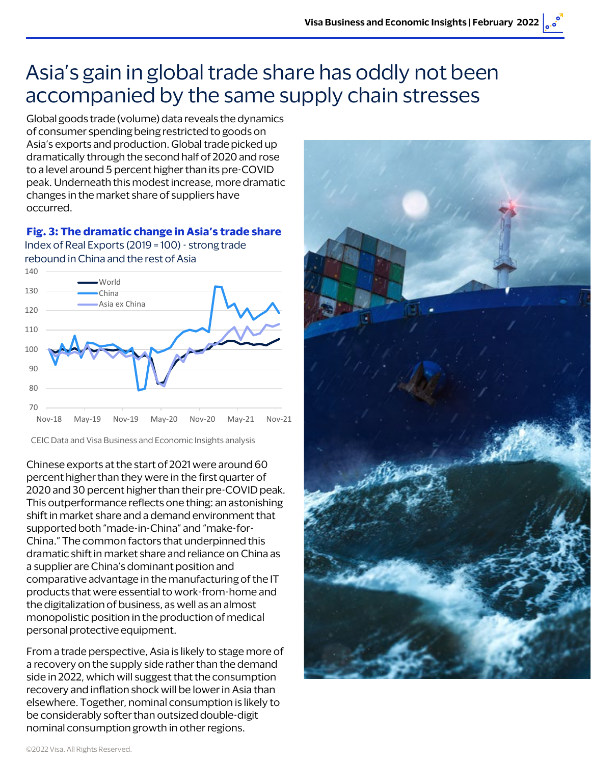## Asia's gain in global trade share has oddly not been accompanied by the same supply chain stresses

Global goods trade (volume) data reveals the dynamics of consumer spending being restricted to goods on Asia's exports and production. Global trade picked up dramatically through the second half of 2020 and rose to a level around 5 percent higher than its pre-COVID peak. Underneath this modest increase, more dramatic changes in the market share of suppliers have occurred.

**Fig. 3: The dramatic change in Asia's trade share**

Index of Real Exports (2019 = 100) - strong trade rebound in China and the rest of Asia



CEIC Data and Visa Business and Economic Insights analysis

Chinese exports at the start of 2021 were around 60 percent higher than they were in the first quarter of 2020 and 30 percent higher than their pre-COVID peak. This outperformance reflects one thing: an astonishing shift in market share and a demand environment that supported both "made-in-China" and "make-for-China." The common factors that underpinned this dramatic shift in market share and reliance on China as a supplier are China's dominant position and comparative advantage in the manufacturing of the IT products that were essential to work-from-home and the digitalization of business, as well as an almost monopolistic position in the production of medical personal protective equipment.

From a trade perspective, Asia is likely to stage more of a recovery on the supply side rather than the demand side in 2022, which will suggest that the consumption recovery and inflation shock will be lower in Asia than elsewhere. Together, nominal consumption is likely to be considerably softer than outsized double-digit nominal consumption growth in other regions.

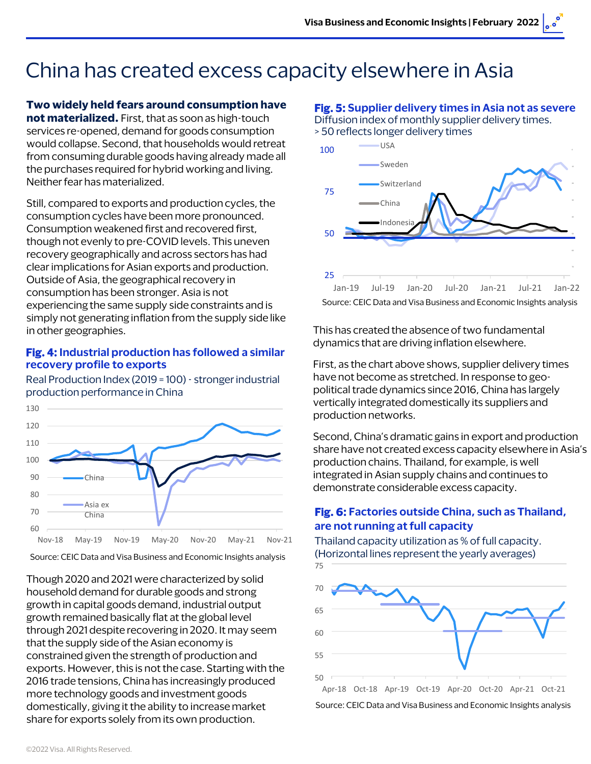# China has created excess capacity elsewhere in Asia

#### **Two widely held fears around consumption have**

**not materialized.** First, that as soon as high-touch services re-opened, demand for goods consumption would collapse. Second, that households would retreat from consuming durable goods having already made all the purchases required for hybrid working and living. Neither fear has materialized.

Still, compared to exports and production cycles, the consumption cycles have been more pronounced. Consumption weakened first and recovered first, though not evenly to pre-COVID levels. This uneven recovery geographically and across sectors has had clear implications for Asian exports and production. Outside of Asia, the geographical recovery in consumption has been stronger. Asia is not experiencing the same supply side constraints and is simply not generating inflation from the supply side like in other geographies.

#### **Fig. 4: Industrial production has followed a similar recovery profile to exports**

Real Production Index (2019 = 100) - stronger industrial production performance in China



Source: CEIC Data and Visa Business and Economic Insights analysis

Though 2020 and 2021 were characterized by solid household demand for durable goods and strong growth in capital goods demand, industrial output growth remained basically flat at the global level through 2021 despite recovering in 2020. It may seem that the supply side of the Asian economy is constrained given the strength of production and exports. However, this is not the case. Starting with the 2016 trade tensions, China has increasingly produced more technology goods and investment goods domestically, giving it the ability to increase market share for exports solely from its own production.

#### **Fig. 5: Supplier delivery times in Asia not as severe** Diffusion index of monthly supplier delivery times.





Source: CEIC Data and Visa Business and Economic Insights analysis

This has created the absence of two fundamental dynamics that are driving inflation elsewhere.

First, as the chart above shows, supplier delivery times have not become as stretched. In response to geopolitical trade dynamics since 2016, China has largely vertically integrated domestically its suppliers and production networks.

Second, China's dramatic gains in export and production share have not created excess capacity elsewhere in Asia's production chains. Thailand, for example, is well integrated in Asian supply chains and continues to demonstrate considerable excess capacity.

#### **Fig. 6: Factories outside China, such as Thailand, are not running at full capacity**

Thailand capacity utilization as % of full capacity. (Horizontal lines represent the yearly averages)

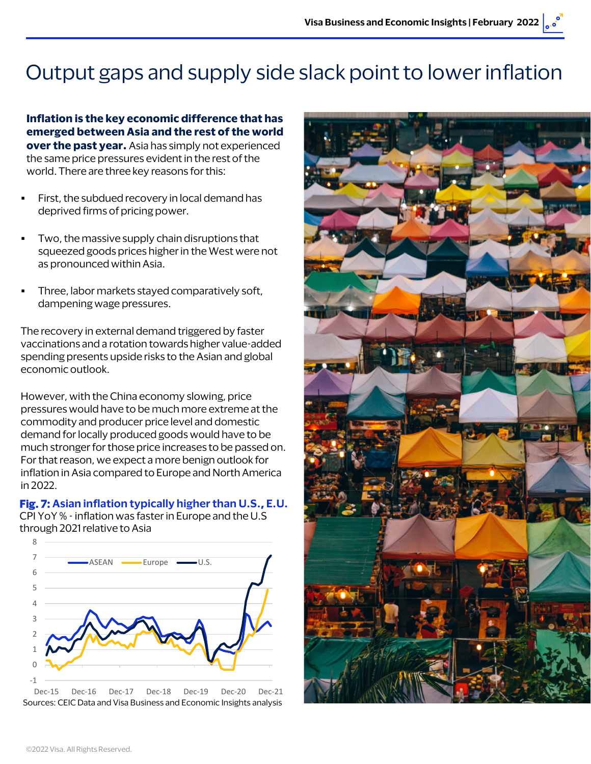# Output gaps and supply side slack point to lower inflation

**Inflation is the key economic difference that has emerged between Asia and the rest of the world over the past year.** Asia has simply not experienced the same price pressures evident in the rest of the world. There are three key reasons for this:

- First, the subdued recovery in local demand has deprived firms of pricing power.
- Two, the massive supply chain disruptions that squeezed goods prices higher in the West were not as pronounced within Asia.
- Three, labor markets stayed comparatively soft, dampening wage pressures.

The recovery in external demand triggered by faster vaccinations and a rotation towards higher value-added spending presents upside risks to the Asian and global economic outlook.

However, with the China economy slowing, price pressures would have to be much more extreme at the commodity and producer price level and domestic demand for locally produced goods would have to be much stronger for those price increases to be passed on. For that reason, we expect a more benign outlook for inflation in Asia compared to Europe and North America in 2022.

**Fig. 7: Asian inflation typically higher than U.S., E.U.** CPI YoY % - inflation was fasterin Europe and the U.S through 2021 relative to Asia



Dec-15 Dec-16 Dec-17 Dec-18 Dec-19 Dec-20 Dec-21 Sources: CEIC Data and Visa Business and Economic Insights analysis

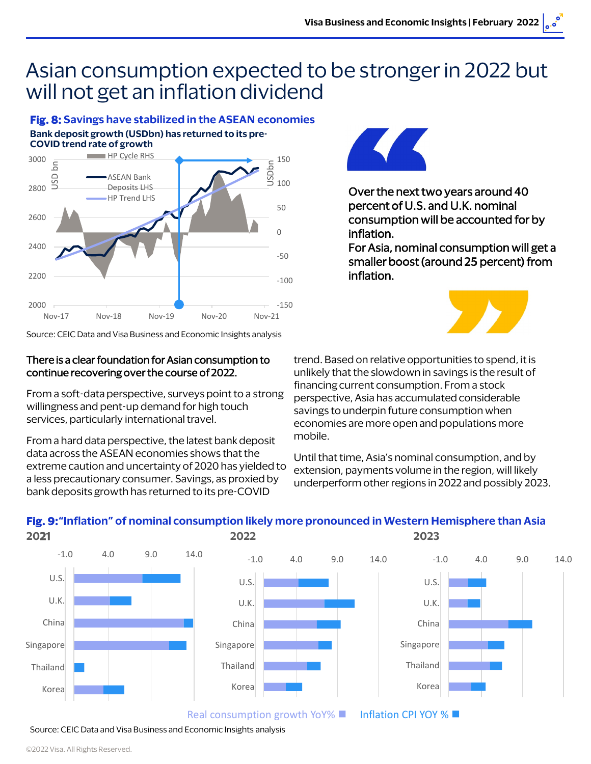### Asian consumption expected to be stronger in 2022 but will not get an inflation dividend

#### **Fig. 8: Savings have stabilized in the ASEAN economies Bank deposit growth (USDbn) has returned to its pre-**



Source: CEIC Data and Visa Business and Economic Insights analysis

#### There is a clear foundation for Asian consumption to continue recovering over the course of 2022.

From a soft-data perspective, surveys point to a strong willingness and pent-up demand for high touch services, particularly international travel.

From a hard data perspective, the latest bank deposit data across the ASEAN economies shows that the extreme caution and uncertainty of 2020 has yielded to a less precautionary consumer. Savings, as proxied by bank deposits growth has returned to its pre-COVID



Over the next two years around 40 percent of U.S. and U.K. nominal consumption will be accounted for by inflation.

For Asia, nominal consumption will get a smaller boost (around 25 percent) from inflation.



trend. Based on relative opportunities to spend, it is unlikely that the slowdown in savings is the result of financing current consumption. From a stock perspective, Asia has accumulated considerable savings to underpin future consumption when economies are more open and populations more mobile.

Until that time, Asia's nominal consumption, and by extension, payments volume in the region, will likely underperform other regions in 2022 and possibly 2023.



Source: CEIC Data and Visa Business and Economic Insights analysis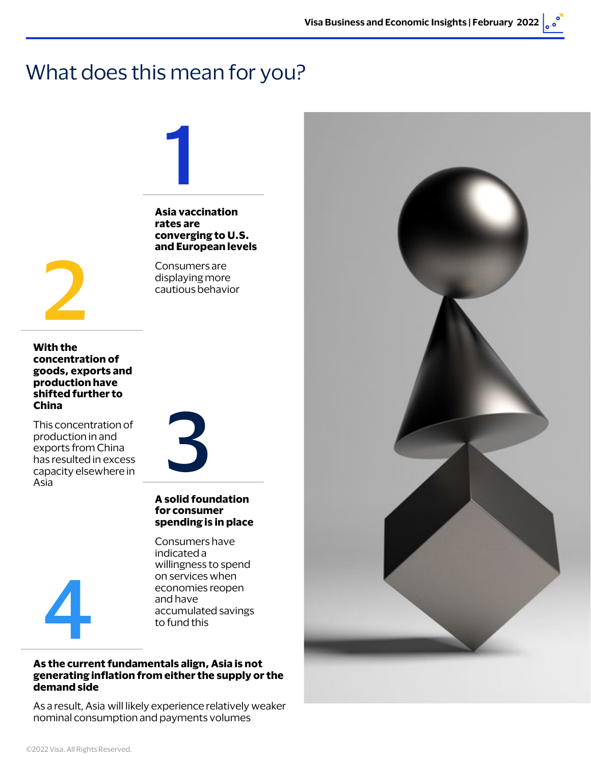### What does this mean for you?



**With the concentration of goods, exports and production have shifted further to China**

This concentration of production in and exports from China has resulted in excess capacity elsewhere in Asia

#### **As the current fundamentals align, Asia is not generating inflation from either the supply or the demand side**

As a result, Asia will likely experience relatively weaker nominal consumption and payments volumes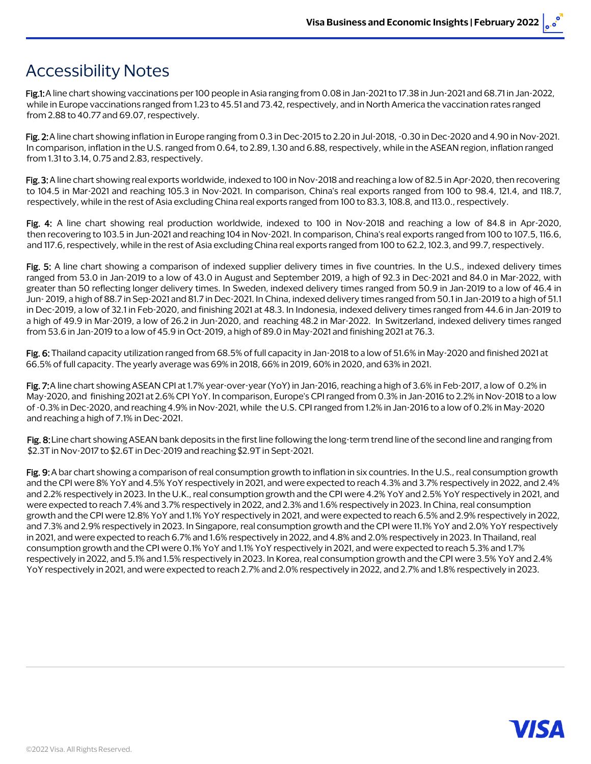### Accessibility Notes

Fig.1: A line chart showing vaccinations per 100 people in Asia ranging from 0.08 in Jan-2021 to 17.38 in Jun-2021 and 68.71 in Jan-2022, while in Europe vaccinations ranged from 1.23 to 45.51 and 73.42, respectively, and in North America the vaccination rates ranged from 2.88 to 40.77 and 69.07, respectively.

Fig. 2:A line chart showing inflation in Europe ranging from 0.3 in Dec-2015 to 2.20 in Jul-2018, -0.30 in Dec-2020 and 4.90 in Nov-2021. In comparison, inflation in the U.S. ranged from 0.64, to 2.89, 1.30 and 6.88, respectively, while in the ASEAN region, inflation ranged from 1.31 to 3.14, 0.75 and 2.83, respectively.

Fig. 3: A line chart showing real exports worldwide, indexed to 100 in Nov-2018 and reaching a low of 82.5 in Apr-2020, then recovering to 104.5 in Mar-2021 and reaching 105.3 in Nov-2021. In comparison, China's real exports ranged from 100 to 98.4, 121.4, and 118.7, respectively, while in the rest of Asia excluding China real exports ranged from 100 to 83.3, 108.8, and 113.0., respectively.

Fig. 4: A line chart showing real production worldwide, indexed to 100 in Nov-2018 and reaching a low of 84.8 in Apr-2020, then recovering to 103.5 in Jun-2021 and reaching 104 in Nov-2021. In comparison, China's real exports ranged from 100 to 107.5, 116.6, and 117.6, respectively, while in the rest of Asia excluding China real exports ranged from 100 to 62.2, 102.3, and 99.7, respectively.

Fig. 5: A line chart showing a comparison of indexed supplier delivery times in five countries. In the U.S., indexed delivery times ranged from 53.0 in Jan-2019 to a low of 43.0 in August and September 2019, a high of 92.3 in Dec-2021 and 84.0 in Mar-2022, with greater than 50 reflecting longer delivery times. In Sweden, indexed delivery times ranged from 50.9 in Jan-2019 to a low of 46.4 in Jun- 2019, a high of 88.7 in Sep-2021 and 81.7 in Dec-2021. In China, indexed delivery times ranged from 50.1 in Jan-2019 to a high of 51.1 in Dec-2019, a low of 32.1 in Feb-2020, and finishing 2021 at 48.3. In Indonesia, indexed delivery times ranged from 44.6 in Jan-2019 to a high of 49.9 in Mar-2019, a low of 26.2 in Jun-2020, and reaching 48.2 in Mar-2022. In Switzerland, indexed delivery times ranged from 53.6 in Jan-2019 to a low of 45.9 in Oct-2019, a high of 89.0 in May-2021 and finishing 2021 at 76.3.

Fig. 6: Thailand capacity utilization ranged from 68.5% of full capacity in Jan-2018 to a low of 51.6% in May-2020 and finished 2021 at 66.5% of full capacity. The yearly average was 69% in 2018, 66% in 2019, 60% [in 2020, and 63% in 2021.](bcundiff@visa.com) 

Fig. 7: A line chart showing ASEAN CPI at 1.7% year-over-year (YoY) in Jan-201[6, reaching a high of 3.6% in Feb-20](michael.brown@visa.com)17, a low of 0.2% in May-2020, and finishing 2021 at 2.6% CPI YoY. In comparison, Europe's CPI ranged from 0.3% in Jan-2016 to 2.2% in Nov-2018 to a low of -0.3% in Dec-2020, and reaching 4.9% in Nov-2021, while the U.S. CPI rang[ed from 1.2% in Jan-2016 to](laurenta@visa.com) a low of 0.2% in May-2020 and reaching a high of 7.1% in Dec-2021.

Fig. 8: Line chart showing ASEAN bank deposits in the first line following the l[ong-term trend line of t](rlung@visa.com)he second line and ranging from \$2.3T in Nov-2017 to \$2.6T in Dec-2019 and reaching \$2.9T in Sept-2021.

Fig. 9: A bar chart showing a comparison of real consumption growth to inflati[on in six countries. In the U.](gmaguire@visa.com)S., real consumption growth and the CPI were 8% YoY and 4.5% YoY respectively in 2021, and were expec[ted to reach 4.3% and 3.7% re](mbardast@visa.com)spectively in 2022, and 2.4% and 2.2% respectively in 2023. In the U.K., real consumption growth and the [CPI were 4.2% YoY and 2.5%](jdoettli@visa.com) YoY respectively in 2021, and were expected to reach 7.4% and 3.7% respectively in 2022, and 2.3% and 1.6% respectively in 2023. In China, real consumption growth and the CPI were 12.8% YoY and 1.1% YoY respectively in 2021, and were expected to reach 6.5% and 2.9% respectively in 2022, and 7.3% and 2.9% respectively in 2023. In Singapore, real consumption grow[th and the CPI were 11.1% Yo](mnevski@visa.com)Y and 2.0% YoY respectively in 2021, and were expected to reach 6.7% and 1.6% respectively in 2022, and 4.8% and 2.0% respectively in 2023. In Thailand, real consumption growth and the CPI were 0.1% YoY and 1.1% YoY respectively in [2021, and were expected to](dbatbold@visa.com) reach 5.3% and 1.7% respectively in 2022, and 5.1% and 1.5% respectively in 2023. In Korea, real consumption growth and the CPI were 3.5% YoY and 2.4% YoY respectively in 2021, and were expected to reach 2.7% and 2.0% respect[ively in 2022, and 2.7% and 1](wiclark@visa.com).8% respectively in 2023.